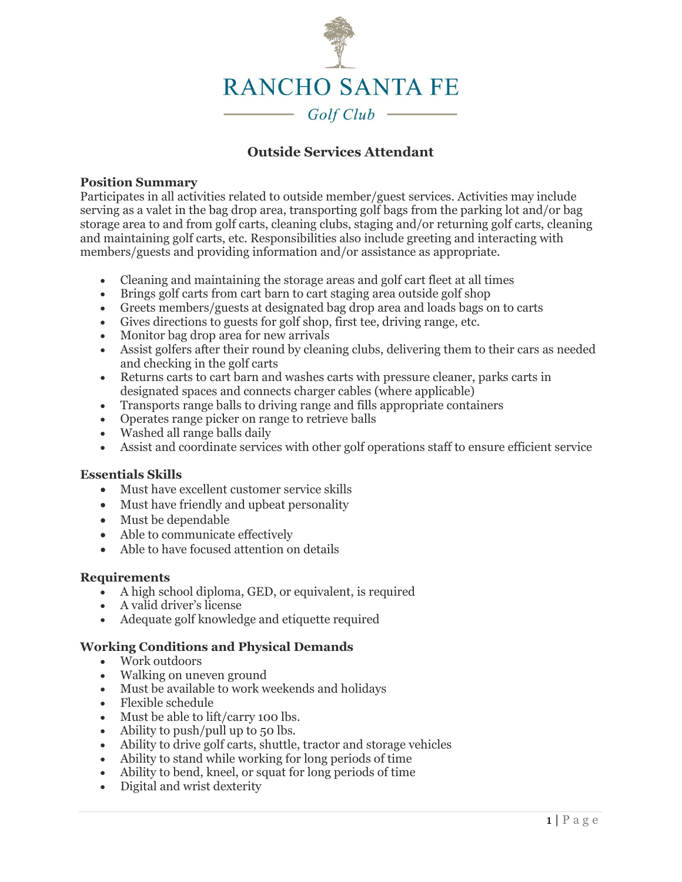

# **Outside Services Attendant**

### **Position Summary**

Participates in all activities related to outside member/guest services. Activities may include serving as a valet in the bag drop area, transporting golf bags from the parking lot and/or bag storage area to and from golf carts, cleaning clubs, staging and/or returning golf carts, cleaning and maintaining golf carts, etc. Responsibilities also include greeting and interacting with members/guests and providing information and/or assistance as appropriate.

- Cleaning and maintaining the storage areas and golf cart fleet at all times
- Brings golf carts from cart barn to cart staging area outside golf shop
- Greets members/guests at designated bag drop area and loads bags on to carts
- Gives directions to guests for golf shop, first tee, driving range, etc.
- Monitor bag drop area for new arrivals
- Assist golfers after their round by cleaning clubs, delivering them to their cars as needed and checking in the golf carts
- Returns carts to cart barn and washes carts with pressure cleaner, parks carts in designated spaces and connects charger cables (where applicable)
- Transports range balls to driving range and fills appropriate containers
- Operates range picker on range to retrieve balls
- Washed all range balls daily
- Assist and coordinate services with other golf operations staff to ensure efficient service

## **Essentials Skills**

- Must have excellent customer service skills
- Must have friendly and upbeat personality
- Must be dependable
- Able to communicate effectively
- Able to have focused attention on details

## **Requirements**

- A high school diploma, GED, or equivalent, is required
- A valid driver's license
- Adequate golf knowledge and etiquette required

## **Working Conditions and Physical Demands**

- Work outdoors
- Walking on uneven ground
- Must be available to work weekends and holidays
- Flexible schedule
- Must be able to lift/carry 100 lbs.
- Ability to push/pull up to 50 lbs.
- Ability to drive golf carts, shuttle, tractor and storage vehicles
- Ability to stand while working for long periods of time
- Ability to bend, kneel, or squat for long periods of time
- Digital and wrist dexterity